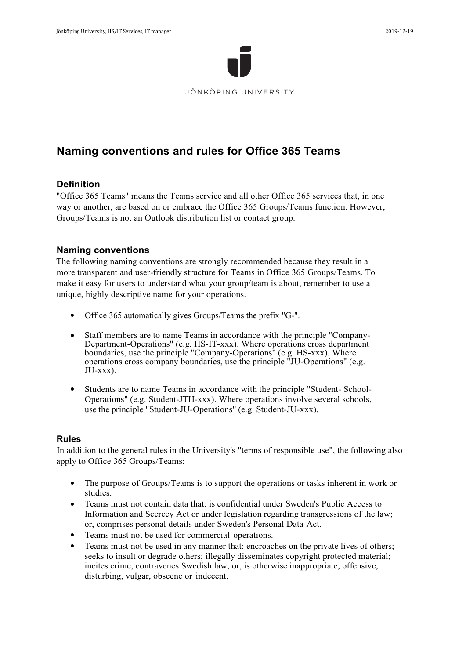

# **Naming conventions and rules for Office 365 Teams**

#### **Definition**

"Office 365 Teams" means the Teams service and all other Office 365 services that, in one way or another, are based on or embrace the Office 365 Groups/Teams function. However, Groups/Teams is not an Outlook distribution list or contact group.

#### **Naming conventions**

The following naming conventions are strongly recommended because they result in a more transparent and user-friendly structure for Teams in Office 365 Groups/Teams. To make it easy for users to understand what your group/team is about, remember to use a unique, highly descriptive name for your operations.

- Office 365 automatically gives Groups/Teams the prefix "G-".
- Staff members are to name Teams in accordance with the principle "Company-Department-Operations" (e.g. HS-IT-xxx). Where operations cross department boundaries, use the principle "Company-Operations" (e.g. HS-xxx). Where operations cross company boundaries, use the principle "JU-Operations" (e.g.  $JU$ - $XXX$ ).
- Students are to name Teams in accordance with the principle "Student- School-Operations" (e.g. Student-JTH-xxx). Where operations involve several schools, use the principle "Student-JU-Operations" (e.g. Student-JU-xxx).

#### **Rules**

In addition to the general rules in the University's "terms of responsible use", the following also apply to Office 365 Groups/Teams:

- The purpose of Groups/Teams is to support the operations or tasks inherent in work or studies.
- Teams must not contain data that: is confidential under Sweden's Public Access to Information and Secrecy Act or under legislation regarding transgressions of the law; or, comprises personal details under Sweden's Personal Data Act.
- Teams must not be used for commercial operations.
- Teams must not be used in any manner that: encroaches on the private lives of others; seeks to insult or degrade others; illegally disseminates copyright protected material; incites crime; contravenes Swedish law; or, is otherwise inappropriate, offensive, disturbing, vulgar, obscene or indecent.